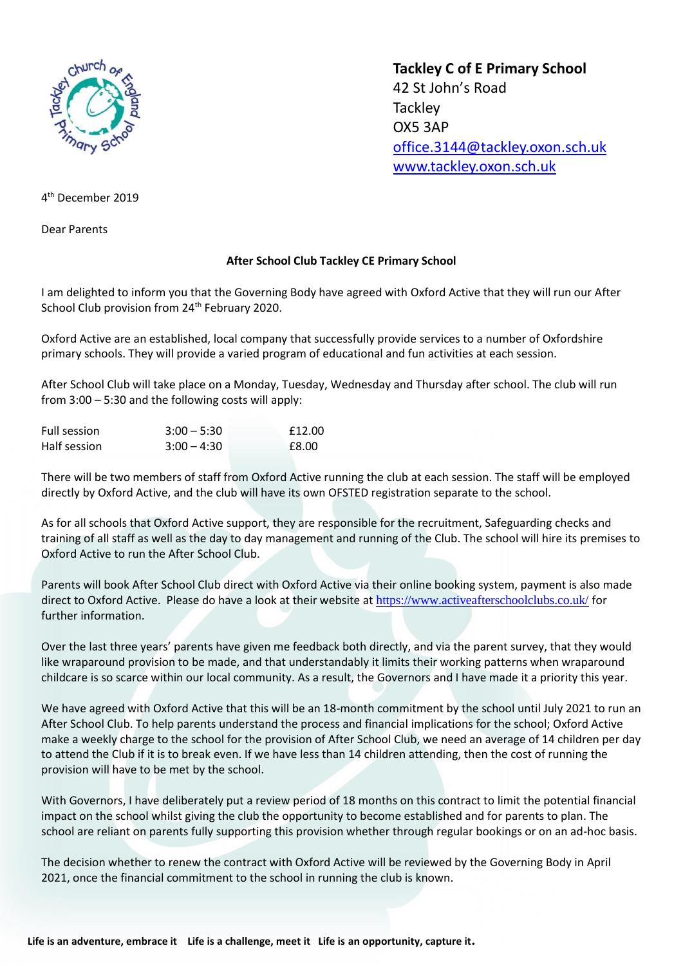

**Tackley C of E Primary School** 42 St John's Road **Tackley** OX5 3AP [office.3144@tackley.oxon.sch.uk](mailto:office.3144@tackley.oxon.sch.uk) [www.tackley.oxon.sch.uk](http://www.tackley.oxon.sch.uk/)

4 th December 2019

Dear Parents

## **After School Club Tackley CE Primary School**

I am delighted to inform you that the Governing Body have agreed with Oxford Active that they will run our After School Club provision from 24<sup>th</sup> February 2020.

Oxford Active are an established, local company that successfully provide services to a number of Oxfordshire primary schools. They will provide a varied program of educational and fun activities at each session.

After School Club will take place on a Monday, Tuesday, Wednesday and Thursday after school. The club will run from 3:00 – 5:30 and the following costs will apply:

| Full session | $3:00 - 5:30$ | £12.00 |
|--------------|---------------|--------|
| Half session | $3:00 - 4:30$ | £8.00  |

There will be two members of staff from Oxford Active running the club at each session. The staff will be employed directly by Oxford Active, and the club will have its own OFSTED registration separate to the school.

As for all schools that Oxford Active support, they are responsible for the recruitment, Safeguarding checks and training of all staff as well as the day to day management and running of the Club. The school will hire its premises to Oxford Active to run the After School Club.

Parents will book After School Club direct with Oxford Active via their online booking system, payment is also made direct to Oxford Active. Please do have a look at their website at <https://www.activeafterschoolclubs.co.uk/> for further information.

Over the last three years' parents have given me feedback both directly, and via the parent survey, that they would like wraparound provision to be made, and that understandably it limits their working patterns when wraparound childcare is so scarce within our local community. As a result, the Governors and I have made it a priority this year.

We have agreed with Oxford Active that this will be an 18-month commitment by the school until July 2021 to run an After School Club. To help parents understand the process and financial implications for the school; Oxford Active make a weekly charge to the school for the provision of After School Club, we need an average of 14 children per day to attend the Club if it is to break even. If we have less than 14 children attending, then the cost of running the provision will have to be met by the school.

With Governors, I have deliberately put a review period of 18 months on this contract to limit the potential financial impact on the school whilst giving the club the opportunity to become established and for parents to plan. The school are reliant on parents fully supporting this provision whether through regular bookings or on an ad-hoc basis.

The decision whether to renew the contract with Oxford Active will be reviewed by the Governing Body in April 2021, once the financial commitment to the school in running the club is known.